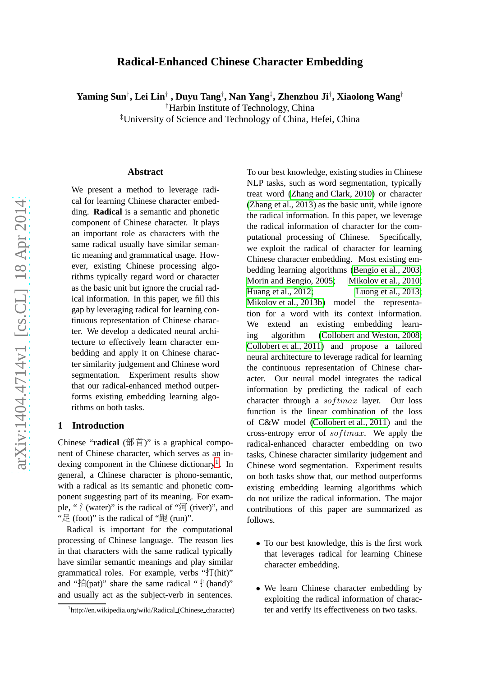## **Radical-Enhanced Chinese Character Embedding**

**Yaming Sun** † **, Lei Lin** † **, Duyu Tang** † **, Nan Yang** ‡ **, Zhenzhou Ji** † **, Xiaolong Wang** †

†Harbin Institute of Technology, China

‡University of Science and Technology of China, Hefei, China

#### **Abstract**

We present a method to leverage radical for learning Chinese character embedding. **Radical** is a semantic and phonetic component of Chinese character. It plays an important role as characters with the same radical usually have similar semantic meaning and grammatical usage. However, existing Chinese processing algorithms typically regard word or character as the basic unit but ignore the crucial radical information. In this paper, we fill this gap by leveraging radical for learning continuous representation of Chinese character. We develop a dedicated neural architecture to effectively learn character embedding and apply it on Chinese character similarity judgement and Chinese word segmentation. Experiment results show that our radical-enhanced method outperforms existing embedding learning algorithms on both tasks.

#### **1 Introduction**

Chinese "**radical** ( 部 首)" is a graphical component of Chinese character, which serves as an in-dexing component in the Chinese dictionary<sup>[1](#page-0-0)</sup>. In general, a Chinese character is phono-semantic, with a radical as its semantic and phonetic component suggesting part of its meaning. For example, " $\gamma$  (water)" is the radical of " $\overline{p}$  (river)", and " $E$  (foot)" is the radical of " $E$  (run)".

Radical is important for the computational processing of Chinese language. The reason lies in that characters with the same radical typically have similar semantic meanings and play similar grammatical roles. For example, verbs " 打(hit)" and " $\sharp$  (pat)" share the same radical " $\sharp$  (hand)" and usually act as the subject-verb in sentences. To our best knowledge, existing studies in Chinese NLP tasks, such as word segmentation, typically treat word [\(Zhang and Clark, 2010\)](#page-7-0) or character [\(Zhang et al., 2013\)](#page-7-1) as the basic unit, while ignore the radical information. In this paper, we leverage the radical information of character for the computational processing of Chinese. Specifically, we exploit the radical of character for learning Chinese character embedding. Most existing embedding learning algorithms [\(Bengio et al., 2003;](#page-6-0) [Morin and Bengio, 2005;](#page-7-2) [Mikolov et al., 2010;](#page-7-3) [Huang et al., 2012;](#page-6-1) [Luong et al., 2013;](#page-7-4) [Mikolov et al., 2013b\)](#page-7-5) model the representation for a word with its context information. We extend an existing embedding learning algorithm [\(Collobert and Weston, 2008;](#page-6-2) [Collobert et al., 2011\)](#page-6-3) and propose a tailored neural architecture to leverage radical for learning the continuous representation of Chinese character. Our neural model integrates the radical information by predicting the radical of each character through a  $softmax$  layer. Our loss function is the linear combination of the loss of C&W model [\(Collobert et al., 2011\)](#page-6-3) and the cross-entropy error of  $softmax$ . We apply the radical-enhanced character embedding on two tasks, Chinese character similarity judgement and Chinese word segmentation. Experiment results on both tasks show that, our method outperforms existing embedding learning algorithms which do not utilize the radical information. The major contributions of this paper are summarized as follows.

- To our best knowledge, this is the first work that leverages radical for learning Chinese character embedding.
- We learn Chinese character embedding by exploiting the radical information of character and verify its effectiveness on two tasks.

<span id="page-0-0"></span><sup>1</sup> http://en.wikipedia.org/wiki/Radical (Chinese character)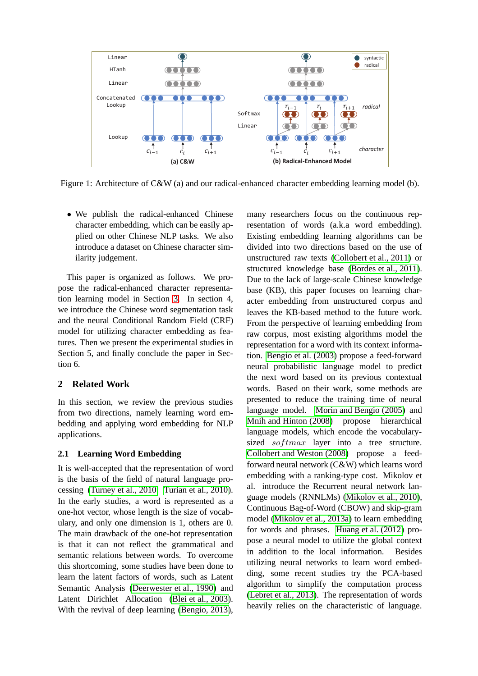

<span id="page-1-0"></span>Figure 1: Architecture of C&W (a) and our radical-enhanced character embedding learning model (b).

• We publish the radical-enhanced Chinese character embedding, which can be easily applied on other Chinese NLP tasks. We also introduce a dataset on Chinese character similarity judgement.

This paper is organized as follows. We propose the radical-enhanced character representation learning model in Section [3.](#page-2-0) In section 4, we introduce the Chinese word segmentation task and the neural Conditional Random Field (CRF) model for utilizing character embedding as features. Then we present the experimental studies in Section 5, and finally conclude the paper in Section 6.

# **2 Related Work**

In this section, we review the previous studies from two directions, namely learning word embedding and applying word embedding for NLP applications.

## **2.1 Learning Word Embedding**

It is well-accepted that the representation of word is the basis of the field of natural language processing [\(Turney et al., 2010;](#page-7-6) [Turian et al., 2010\)](#page-7-7). In the early studies, a word is represented as a one-hot vector, whose length is the size of vocabulary, and only one dimension is 1, others are 0. The main drawback of the one-hot representation is that it can not reflect the grammatical and semantic relations between words. To overcome this shortcoming, some studies have been done to learn the latent factors of words, such as Latent Semantic Analysis [\(Deerwester et al., 1990\)](#page-6-4) and Latent Dirichlet Allocation [\(Blei et al., 2003\)](#page-6-5). With the revival of deep learning [\(Bengio, 2013\)](#page-6-6),

many researchers focus on the continuous representation of words (a.k.a word embedding). Existing embedding learning algorithms can be divided into two directions based on the use of unstructured raw texts [\(Collobert et al., 2011\)](#page-6-3) or structured knowledge base [\(Bordes et al., 2011\)](#page-6-7). Due to the lack of large-scale Chinese knowledge base (KB), this paper focuses on learning character embedding from unstructured corpus and leaves the KB-based method to the future work. From the perspective of learning embedding from raw corpus, most existing algorithms model the representation for a word with its context information. [Bengio et al. \(2003\)](#page-6-0) propose a feed-forward neural probabilistic language model to predict the next word based on its previous contextual words. Based on their work, some methods are presented to reduce the training time of neural language model. [Morin and Bengio \(2005\)](#page-7-2) and [Mnih and Hinton \(2008\)](#page-7-8) propose hierarchical language models, which encode the vocabularysized  $softmax$  layer into a tree structure. [Collobert and Weston \(2008\)](#page-6-2) propose a feedforward neural network (C&W) which learns word embedding with a ranking-type cost. Mikolov et al. introduce the Recurrent neural network language models (RNNLMs) [\(Mikolov et al., 2010\)](#page-7-3), Continuous Bag-of-Word (CBOW) and skip-gram model [\(Mikolov et al., 2013a\)](#page-7-9) to learn embedding for words and phrases. [Huang et al. \(2012\)](#page-6-1) propose a neural model to utilize the global context in addition to the local information. Besides utilizing neural networks to learn word embedding, some recent studies try the PCA-based algorithm to simplify the computation process [\(Lebret et al., 2013\)](#page-7-10). The representation of words heavily relies on the characteristic of language.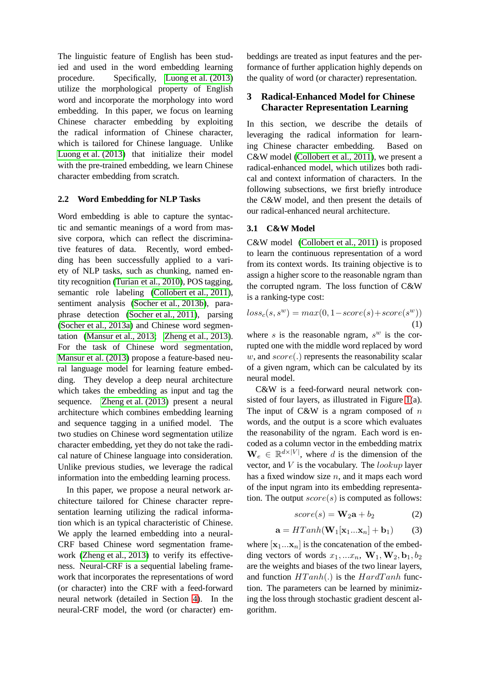The linguistic feature of English has been studied and used in the word embedding learning procedure. Specifically, [Luong et al. \(2013\)](#page-7-4) utilize the morphological property of English word and incorporate the morphology into word embedding. In this paper, we focus on learning Chinese character embedding by exploiting the radical information of Chinese character, which is tailored for Chinese language. Unlike [Luong et al. \(2013\)](#page-7-4) that initialize their model with the pre-trained embedding, we learn Chinese character embedding from scratch.

### **2.2 Word Embedding for NLP Tasks**

Word embedding is able to capture the syntactic and semantic meanings of a word from massive corpora, which can reflect the discriminative features of data. Recently, word embedding has been successfully applied to a variety of NLP tasks, such as chunking, named entity recognition [\(Turian et al., 2010\)](#page-7-7), POS tagging, semantic role labeling [\(Collobert et al., 2011\)](#page-6-3), sentiment analysis [\(Socher et al., 2013b\)](#page-7-11), paraphrase detection [\(Socher et al., 2011\)](#page-7-12), parsing [\(Socher et al., 2013a\)](#page-7-13) and Chinese word segmentation [\(Mansur et al., 2013;](#page-7-14) [Zheng et al., 2013\)](#page-7-15). For the task of Chinese word segmentation, [Mansur et al. \(2013\)](#page-7-14) propose a feature-based neural language model for learning feature embedding. They develop a deep neural architecture which takes the embedding as input and tag the sequence. [Zheng et al. \(2013\)](#page-7-15) present a neural architecture which combines embedding learning and sequence tagging in a unified model. The two studies on Chinese word segmentation utilize character embedding, yet they do not take the radical nature of Chinese language into consideration. Unlike previous studies, we leverage the radical information into the embedding learning process.

In this paper, we propose a neural network architecture tailored for Chinese character representation learning utilizing the radical information which is an typical characteristic of Chinese. We apply the learned embedding into a neural-CRF based Chinese word segmentation framework [\(Zheng et al., 2013\)](#page-7-15) to verify its effectiveness. Neural-CRF is a sequential labeling framework that incorporates the representations of word (or character) into the CRF with a feed-forward neural network (detailed in Section [4\)](#page-3-0). In the neural-CRF model, the word (or character) embeddings are treated as input features and the performance of further application highly depends on the quality of word (or character) representation.

## <span id="page-2-0"></span>**3 Radical-Enhanced Model for Chinese Character Representation Learning**

In this section, we describe the details of leveraging the radical information for learning Chinese character embedding. Based on C&W model [\(Collobert et al., 2011\)](#page-6-3), we present a radical-enhanced model, which utilizes both radical and context information of characters. In the following subsections, we first briefly introduce the C&W model, and then present the details of our radical-enhanced neural architecture.

### **3.1 C&W Model**

C&W model [\(Collobert et al., 2011\)](#page-6-3) is proposed to learn the continuous representation of a word from its context words. Its training objective is to assign a higher score to the reasonable ngram than the corrupted ngram. The loss function of C&W is a ranking-type cost:

<span id="page-2-1"></span>
$$
loss_c(s, s^w) = max(0, 1 - score(s) + score(s^w))
$$
\n(1)

where s is the reasonable ngram,  $s^w$  is the corrupted one with the middle word replaced by word  $w$ , and  $score(.)$  represents the reasonability scalar of a given ngram, which can be calculated by its neural model.

C&W is a feed-forward neural network consisted of four layers, as illustrated in Figure [1\(](#page-1-0)a). The input of  $C\&W$  is a ngram composed of n words, and the output is a score which evaluates the reasonability of the ngram. Each word is encoded as a column vector in the embedding matrix  $\mathbf{W}_e \in \mathbb{R}^{d \times |V|}$ , where d is the dimension of the vector, and  $V$  is the vocabulary. The *lookup* layer has a fixed window size  $n$ , and it maps each word of the input ngram into its embedding representation. The output  $score(s)$  is computed as follows:

$$
score(s) = \mathbf{W}_2 \mathbf{a} + b_2 \tag{2}
$$

$$
\mathbf{a} = HTanh(\mathbf{W}_1[\mathbf{x}_1...\mathbf{x}_n] + \mathbf{b}_1)
$$
 (3)

where  $[x_1...x_n]$  is the concatenation of the embedding vectors of words  $x_1, ... x_n$ ,  $W_1, W_2, b_1, b_2$ are the weights and biases of the two linear layers, and function  $HTanh(.)$  is the  $Hard Tanh$  function. The parameters can be learned by minimizing the loss through stochastic gradient descent algorithm.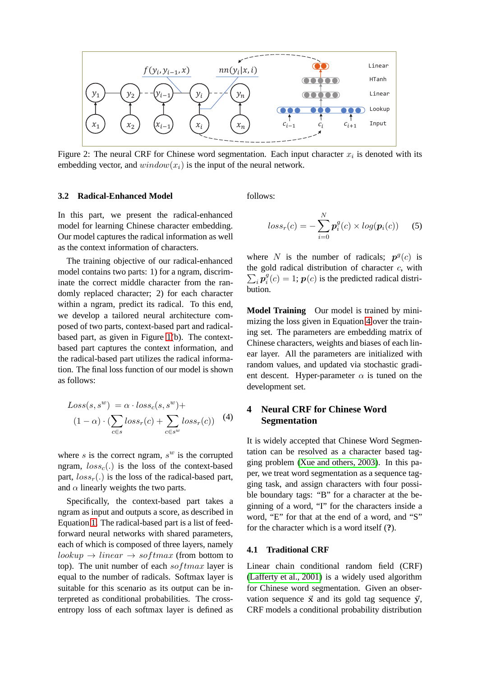

<span id="page-3-2"></span>Figure 2: The neural CRF for Chinese word segmentation. Each input character  $x_i$  is denoted with its embedding vector, and  $window(x_i)$  is the input of the neural network.

#### **3.2 Radical-Enhanced Model**

In this part, we present the radical-enhanced model for learning Chinese character embedding. Our model captures the radical information as well as the context information of characters.

The training objective of our radical-enhanced model contains two parts: 1) for a ngram, discriminate the correct middle character from the randomly replaced character; 2) for each character within a ngram, predict its radical. To this end, we develop a tailored neural architecture composed of two parts, context-based part and radicalbased part, as given in Figure [1\(](#page-1-0)b). The contextbased part captures the context information, and the radical-based part utilizes the radical information. The final loss function of our model is shown as follows:

<span id="page-3-1"></span>
$$
Loss(s, s^{w}) = \alpha \cdot loss_{c}(s, s^{w}) +
$$
  

$$
(1 - \alpha) \cdot (\sum_{c \in s} loss_{r}(c) + \sum_{c \in s^{w}} loss_{r}(c))
$$
 (4)

where  $s$  is the correct ngram,  $s^w$  is the corrupted ngram,  $loss_c(.)$  is the loss of the context-based part,  $loss<sub>r</sub>(.)$  is the loss of the radical-based part, and  $\alpha$  linearly weights the two parts.

Specifically, the context-based part takes a ngram as input and outputs a score, as described in Equation [1.](#page-2-1) The radical-based part is a list of feedforward neural networks with shared parameters, each of which is composed of three layers, namely  $lookup \rightarrow linear \rightarrow softmax$  (from bottom to top). The unit number of each  $softmax$  layer is equal to the number of radicals. Softmax layer is suitable for this scenario as its output can be interpreted as conditional probabilities. The crossentropy loss of each softmax layer is defined as follows:

$$
loss_r(c) = -\sum_{i=0}^{N} \boldsymbol{p}_i^g(c) \times log(\boldsymbol{p}_i(c))
$$
 (5)

where N is the number of radicals;  $p^g(c)$  is the gold radical distribution of character  $c$ , with  $\sum_i \boldsymbol{p}^g_i$  $i_g^g(c) = 1; \, \boldsymbol{p}(c)$  is the predicted radical distribution.

**Model Training** Our model is trained by minimizing the loss given in Equation [4](#page-3-1) over the training set. The parameters are embedding matrix of Chinese characters, weights and biases of each linear layer. All the parameters are initialized with random values, and updated via stochastic gradient descent. Hyper-parameter  $\alpha$  is tuned on the development set.

### <span id="page-3-0"></span>**4 Neural CRF for Chinese Word Segmentation**

It is widely accepted that Chinese Word Segmentation can be resolved as a character based tagging problem [\(Xue and others, 2003\)](#page-7-16). In this paper, we treat word segmentation as a sequence tagging task, and assign characters with four possible boundary tags: "B" for a character at the beginning of a word, "I" for the characters inside a word, "E" for that at the end of a word, and "S" for the character which is a word itself (**?**).

#### **4.1 Traditional CRF**

Linear chain conditional random field (CRF) [\(Lafferty et al., 2001\)](#page-7-17) is a widely used algorithm for Chinese word segmentation. Given an observation sequence  $\vec{x}$  and its gold tag sequence  $\vec{y}$ , CRF models a conditional probability distribution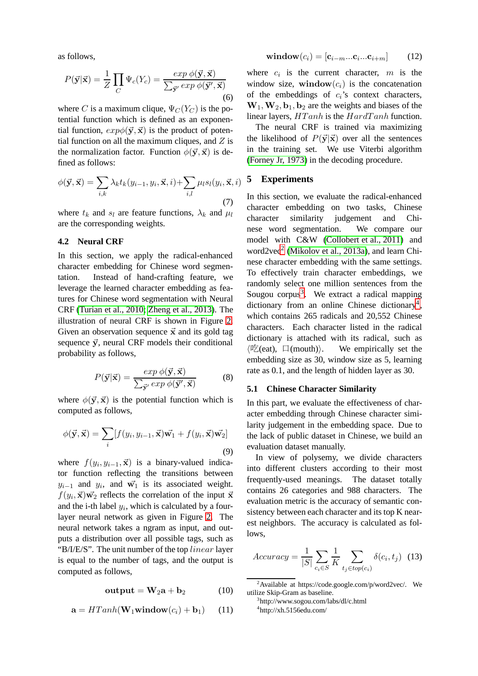as follows,

$$
P(\vec{\mathbf{y}}|\vec{\mathbf{x}}) = \frac{1}{Z} \prod_{C} \Psi_c(Y_c) = \frac{\exp \phi(\vec{\mathbf{y}}, \vec{\mathbf{x}})}{\sum_{\vec{\mathbf{y}}'} \exp \phi(\vec{\mathbf{y}}', \vec{\mathbf{x}})}
$$
(6)

where C is a maximum clique,  $\Psi_C(Y_C)$  is the potential function which is defined as an exponential function,  $exp\phi(\vec{v}, \vec{x})$  is the product of potential function on all the maximum cliques, and  $Z$  is the normalization factor. Function  $\phi(\vec{y}, \vec{x})$  is defined as follows:

$$
\phi(\vec{\mathbf{y}}, \vec{\mathbf{x}}) = \sum_{i,k} \lambda_k t_k(y_{i-1}, y_i, \vec{\mathbf{x}}, i) + \sum_{i,l} \mu_l s_l(y_i, \vec{\mathbf{x}}, i)
$$
\n(7)

where  $t_k$  and  $s_l$  are feature functions,  $\lambda_k$  and  $\mu_l$ are the corresponding weights.

### **4.2 Neural CRF**

In this section, we apply the radical-enhanced character embedding for Chinese word segmentation. Instead of hand-crafting feature, we leverage the learned character embedding as features for Chinese word segmentation with Neural CRF [\(Turian et al., 2010;](#page-7-7) [Zheng et al., 2013\)](#page-7-15). The illustration of neural CRF is shown in Figure [2.](#page-3-2) Given an observation sequence  $\vec{x}$  and its gold tag sequence  $\vec{y}$ , neural CRF models their conditional probability as follows,

$$
P(\vec{\mathbf{y}}|\vec{\mathbf{x}}) = \frac{\exp \phi(\vec{\mathbf{y}}, \vec{\mathbf{x}})}{\sum_{\vec{\mathbf{y}}'} \exp \phi(\vec{\mathbf{y}}', \vec{\mathbf{x}})} \tag{8}
$$

where  $\phi(\vec{y}, \vec{x})$  is the potential function which is computed as follows,

$$
\phi(\vec{\mathbf{y}}, \vec{\mathbf{x}}) = \sum_{i} [f(y_i, y_{i-1}, \vec{\mathbf{x}}) \vec{\mathbf{w}_1} + f(y_i, \vec{\mathbf{x}}) \vec{\mathbf{w}_2}]
$$
\n(9)

where  $f(y_i, y_{i-1}, \vec{x})$  is a binary-valued indicator function reflecting the transitions between  $y_{i-1}$  and  $y_i$ , and  $\vec{w_1}$  is its associated weight.  $f(y_i, \vec{x})\vec{w_2}$  reflects the correlation of the input  $\vec{x}$ and the i-th label  $y_i$ , which is calculated by a fourlayer neural network as given in Figure [2.](#page-3-2) The neural network takes a ngram as input, and outputs a distribution over all possible tags, such as "B/I/E/S". The unit number of the top  $linear$  layer" is equal to the number of tags, and the output is computed as follows,

$$
output = W_2a + b_2 \qquad (10)
$$

$$
\mathbf{a} = HTanh(\mathbf{W}_1 \mathbf{window}(c_i) + \mathbf{b}_1) \quad (11)
$$

$$
\mathbf{window}(c_i) = [\mathbf{c}_{i-m}...\mathbf{c}_i...\mathbf{c}_{i+m}] \quad (12)
$$

where  $c_i$  is the current character,  $m$  is the window size, window $(c_i)$  is the concatenation of the embeddings of  $c_i$ 's context characters,  $W_1, W_2, b_1, b_2$  are the weights and biases of the linear layers,  $HTanh$  is the  $HardTanh$  function.

The neural CRF is trained via maximizing the likelihood of  $P(\vec{y}|\vec{x})$  over all the sentences in the training set. We use Viterbi algorithm [\(Forney Jr, 1973\)](#page-6-8) in the decoding procedure.

#### **5 Experiments**

In this section, we evaluate the radical-enhanced character embedding on two tasks, Chinese character similarity judgement and Chinese word segmentation. We compare our model with C&W [\(Collobert et al., 2011\)](#page-6-3) and word[2](#page-4-0)vec<sup>2</sup> [\(Mikolov et al., 2013a\)](#page-7-9), and learn Chinese character embedding with the same settings. To effectively train character embeddings, we randomly select one million sentences from the Sougou corpus<sup>[3](#page-4-1)</sup>. We extract a radical mapping dictionary from an online Chinese dictionary<sup>[4](#page-4-2)</sup>, which contains 265 radicals and 20,552 Chinese characters. Each character listed in the radical dictionary is attached with its radical, such as  $\langle \mathbb{E}(\text{eat}), \square(\text{mouth})\rangle$ . We empirically set the embedding size as 30, window size as 5, learning rate as 0.1, and the length of hidden layer as 30.

#### **5.1 Chinese Character Similarity**

In this part, we evaluate the effectiveness of character embedding through Chinese character similarity judgement in the embedding space. Due to the lack of public dataset in Chinese, we build an evaluation dataset manually.

In view of polysemy, we divide characters into different clusters according to their most frequently-used meanings. The dataset totally contains 26 categories and 988 characters. The evaluation metric is the accuracy of semantic consistency between each character and its top K nearest neighbors. The accuracy is calculated as follows,

$$
Accuracy = \frac{1}{|S|} \sum_{c_i \in S} \frac{1}{K} \sum_{t_j \in top(c_i)} \delta(c_i, t_j) \tag{13}
$$

 $2$ Available at https://code.google.com/p/word2vec/. We utilize Skip-Gram as baseline.

<span id="page-4-2"></span><span id="page-4-1"></span><span id="page-4-0"></span><sup>3</sup> http://www.sogou.com/labs/dl/c.html 4 http://xh.5156edu.com/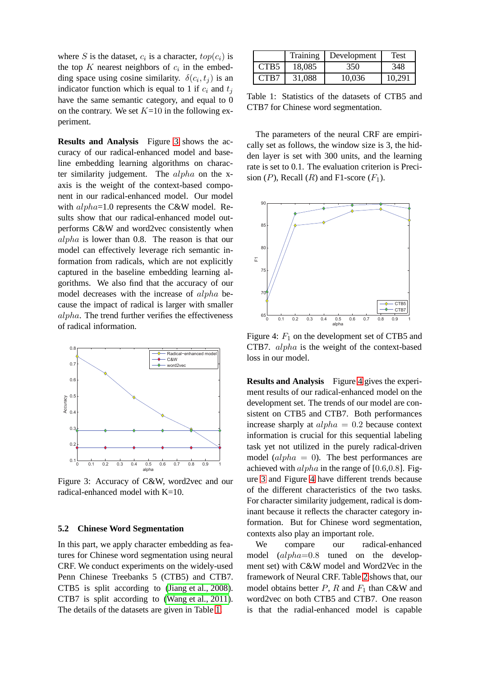where S is the dataset,  $c_i$  is a character,  $top(c_i)$  is the top K nearest neighbors of  $c_i$  in the embedding space using cosine similarity.  $\delta(c_i, t_j)$  is an indicator function which is equal to 1 if  $c_i$  and  $t_j$ have the same semantic category, and equal to 0 on the contrary. We set  $K=10$  in the following experiment.

**Results and Analysis** Figure [3](#page-5-0) shows the accuracy of our radical-enhanced model and baseline embedding learning algorithms on character similarity judgement. The alpha on the xaxis is the weight of the context-based component in our radical-enhanced model. Our model with  $alpha=1.0$  represents the C&W model. Results show that our radical-enhanced model outperforms C&W and word2vec consistently when alpha is lower than 0.8. The reason is that our model can effectively leverage rich semantic information from radicals, which are not explicitly captured in the baseline embedding learning algorithms. We also find that the accuracy of our model decreases with the increase of alpha because the impact of radical is larger with smaller alpha. The trend further verifies the effectiveness of radical information.



<span id="page-5-0"></span>Figure 3: Accuracy of C&W, word2vec and our radical-enhanced model with K=10.

#### **5.2 Chinese Word Segmentation**

In this part, we apply character embedding as features for Chinese word segmentation using neural CRF. We conduct experiments on the widely-used Penn Chinese Treebanks 5 (CTB5) and CTB7. CTB5 is split according to [\(Jiang et al., 2008\)](#page-7-18). CTB7 is split according to [\(Wang et al., 2011\)](#page-7-19). The details of the datasets are given in Table [1.](#page-5-1)

|      | Training | Development | Test   |
|------|----------|-------------|--------|
| CTB5 | 18,085   | 350         | 348    |
| CTB7 | 31,088   | 10.036      | 10.291 |

<span id="page-5-1"></span>Table 1: Statistics of the datasets of CTB5 and CTB7 for Chinese word segmentation.

The parameters of the neural CRF are empirically set as follows, the window size is 3, the hidden layer is set with 300 units, and the learning rate is set to 0.1. The evaluation criterion is Precision  $(P)$ , Recall  $(R)$  and F1-score  $(F_1)$ .



<span id="page-5-2"></span>Figure 4:  $F_1$  on the development set of CTB5 and CTB7. alpha is the weight of the context-based loss in our model.

**Results and Analysis** Figure [4](#page-5-2) gives the experiment results of our radical-enhanced model on the development set. The trends of our model are consistent on CTB5 and CTB7. Both performances increase sharply at  $alpha = 0.2$  because context information is crucial for this sequential labeling task yet not utilized in the purely radical-driven model  $\alpha lpha = 0$ ). The best performances are achieved with  $alpha$  in the range of [0.6,0.8]. Figure [3](#page-5-0) and Figure [4](#page-5-2) have different trends because of the different characteristics of the two tasks. For character similarity judgement, radical is dominant because it reflects the character category information. But for Chinese word segmentation, contexts also play an important role.

We compare our radical-enhanced model (alpha=0.8 tuned on the development set) with C&W model and Word2Vec in the framework of Neural CRF. Table [2](#page-6-9) shows that, our model obtains better  $P$ ,  $R$  and  $F_1$  than C&W and word2vec on both CTB5 and CTB7. One reason is that the radial-enhanced model is capable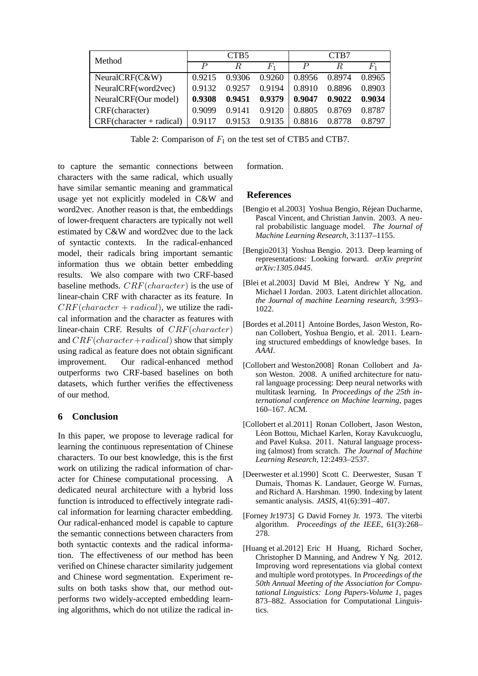| Method                     | CTB <sub>5</sub> |        |         | CTB7   |        |        |
|----------------------------|------------------|--------|---------|--------|--------|--------|
|                            | $\boldsymbol{P}$ | R.     | $F_{1}$ |        | R      |        |
| NeuralCRF(C&W)             | 0.9215           | 0.9306 | 0.9260  | 0.8956 | 0.8974 | 0.8965 |
| NeuralCRF(word2vec)        | 0.9132           | 0.9257 | 0.9194  | 0.8910 | 0.8896 | 0.8903 |
| NeuralCRF(Our model)       | 0.9308           | 0.9451 | 0.9379  | 0.9047 | 0.9022 | 0.9034 |
| CRF(character)             | 0.9099           | 0.9141 | 0.9120  | 0.8805 | 0.8769 | 0.8787 |
| $CRF(character + radical)$ | 0.9117           | 0.9153 | 0.9135  | 0.8816 | 0.8778 | 0.8797 |

<span id="page-6-9"></span>Table 2: Comparison of  $F_1$  on the test set of CTB5 and CTB7.

to capture the semantic connections between characters with the same radical, which usually have similar semantic meaning and grammatical usage yet not explicitly modeled in C&W and word2vec. Another reason is that, the embeddings of lower-frequent characters are typically not well estimated by C&W and word2vec due to the lack of syntactic contexts. In the radical-enhanced model, their radicals bring important semantic information thus we obtain better embedding results. We also compare with two CRF-based baseline methods.  $CRF(character)$  is the use of linear-chain CRF with character as its feature. In  $CRF(character + radical)$ , we utilize the radical information and the character as features with linear-chain CRF. Results of CRF(character) and  $CRF(character + radical)$  show that simply using radical as feature does not obtain significant improvement. Our radical-enhanced method outperforms two CRF-based baselines on both datasets, which further verifies the effectiveness of our method.

## **6 Conclusion**

In this paper, we propose to leverage radical for learning the continuous representation of Chinese characters. To our best knowledge, this is the first work on utilizing the radical information of character for Chinese computational processing. A dedicated neural architecture with a hybrid loss function is introduced to effectively integrate radical information for learning character embedding. Our radical-enhanced model is capable to capture the semantic connections between characters from both syntactic contexts and the radical information. The effectiveness of our method has been verified on Chinese character similarity judgement and Chinese word segmentation. Experiment results on both tasks show that, our method outperforms two widely-accepted embedding learning algorithms, which do not utilize the radical information.

### **References**

- <span id="page-6-0"></span>[Bengio et al.2003] Yoshua Bengio, Réjean Ducharme, Pascal Vincent, and Christian Janvin. 2003. A neural probabilistic language model. *The Journal of Machine Learning Research*, 3:1137–1155.
- <span id="page-6-6"></span>[Bengio2013] Yoshua Bengio. 2013. Deep learning of representations: Looking forward. *arXiv preprint arXiv:1305.0445*.
- <span id="page-6-5"></span>[Blei et al.2003] David M Blei, Andrew Y Ng, and Michael I Jordan. 2003. Latent dirichlet allocation. *the Journal of machine Learning research*, 3:993– 1022.
- <span id="page-6-7"></span>[Bordes et al.2011] Antoine Bordes, Jason Weston, Ronan Collobert, Yoshua Bengio, et al. 2011. Learning structured embeddings of knowledge bases. In *AAAI*.
- <span id="page-6-2"></span>[Collobert and Weston2008] Ronan Collobert and Jason Weston. 2008. A unified architecture for natural language processing: Deep neural networks with multitask learning. In *Proceedings of the 25th international conference on Machine learning*, pages 160–167. ACM.
- <span id="page-6-3"></span>[Collobert et al.2011] Ronan Collobert, Jason Weston, Léon Bottou, Michael Karlen, Koray Kavukcuoglu, and Pavel Kuksa. 2011. Natural language processing (almost) from scratch. *The Journal of Machine Learning Research*, 12:2493–2537.
- <span id="page-6-4"></span>[Deerwester et al.1990] Scott C. Deerwester, Susan T Dumais, Thomas K. Landauer, George W. Furnas, and Richard A. Harshman. 1990. Indexing by latent semantic analysis. *JASIS*, 41(6):391–407.
- <span id="page-6-8"></span>[Forney Jr1973] G David Forney Jr. 1973. The viterbi algorithm. *Proceedings of the IEEE*, 61(3):268– 278.
- <span id="page-6-1"></span>[Huang et al.2012] Eric H Huang, Richard Socher, Christopher D Manning, and Andrew Y Ng. 2012. Improving word representations via global context and multiple word prototypes. In *Proceedings of the 50th Annual Meeting of the Association for Computational Linguistics: Long Papers-Volume 1*, pages 873–882. Association for Computational Linguistics.